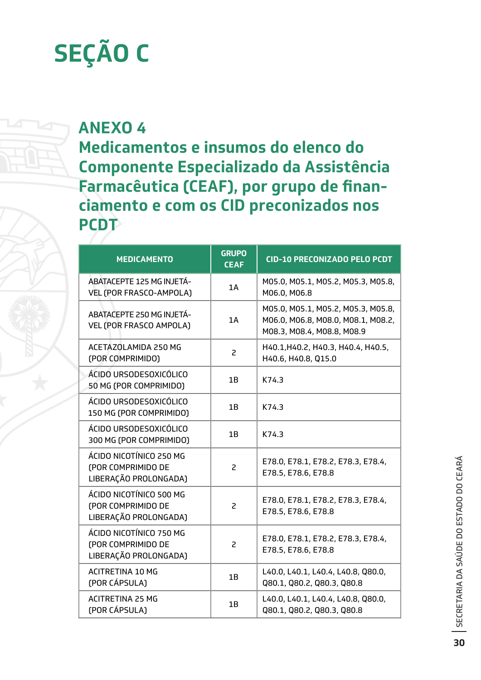## **SEÇÃO C**

## **ANEXO 4**

**Medicamentos e insumos do elenco do Componente Especializado da Assistência Farmacêutica (CEAF), por grupo de financiamento e com os CID preconizados nos PCDT**

| <b>MEDICAMENTO</b>                                                     | <b>GRUPO</b><br><b>CEAF</b> | <b>CID-10 PRECONIZADO PELO PCDT</b>                                                                    |
|------------------------------------------------------------------------|-----------------------------|--------------------------------------------------------------------------------------------------------|
| ABATACEPTE 125 MG INJETÁ-<br>VEL (POR FRASCO-AMPOLA)                   | 1A                          | M05.0, M05.1, M05.2, M05.3, M05.8,<br>M06.0, M06.8                                                     |
| ABATACEPTE 250 MG INJETÁ-<br>VEL (POR FRASCO AMPOLA)                   | 1A                          | M05.0, M05.1, M05.2, M05.3, M05.8,<br>M06.0, M06.8, M08.0, M08.1, M08.2,<br>M08.3, M08.4, M08.8, M08.9 |
| ACETAZOLAMIDA 250 MG<br>(POR COMPRIMIDO)                               | 2                           | H40.1, H40.2, H40.3, H40.4, H40.5,<br>H40.6, H40.8, Q15.0                                              |
| ÁCIDO URSODESOXICÓLICO<br>50 MG (POR COMPRIMIDO)                       | 1B                          | K74.3                                                                                                  |
| ÁCIDO URSODESOXICÓLICO<br>150 MG (POR COMPRIMIDO)                      | 1B                          | K74.3                                                                                                  |
| ÁCIDO URSODESOXICÓLICO<br>300 MG (POR COMPRIMIDO)                      | 1B                          | K74.3                                                                                                  |
| ÁCIDO NICOTÍNICO 250 MG<br>(POR COMPRIMIDO DE<br>LIBERAÇÃO PROLONGADA) | $\overline{c}$              | E78.0, E78.1, E78.2, E78.3, E78.4,<br>E78.5, E78.6, E78.8                                              |
| ÁCIDO NICOTÍNICO 500 MG<br>(POR COMPRIMIDO DE<br>LIBERAÇÃO PROLONGADA) | 2                           | E78.0, E78.1, E78.2, E78.3, E78.4,<br>E78.5, E78.6, E78.8                                              |
| ÁCIDO NICOTÍNICO 750 MG<br>(POR COMPRIMIDO DE<br>LIBERAÇÃO PROLONGADA) | 2                           | E78.0, E78.1, E78.2, E78.3, E78.4,<br>E78.5, E78.6, E78.8                                              |
| <b>ACITRETINA 10 MG</b><br>(POR CÁPSULA)                               | 1B                          | L40.0, L40.1, L40.4, L40.8, Q80.0,<br>Q80.1, Q80.2, Q80.3, Q80.8                                       |
| <b>ACITRETINA 25 MG</b><br>(POR CÁPSULA)                               | 1B                          | L40.0, L40.1, L40.4, L40.8, Q80.0,<br>Q80.1, Q80.2, Q80.3, Q80.8                                       |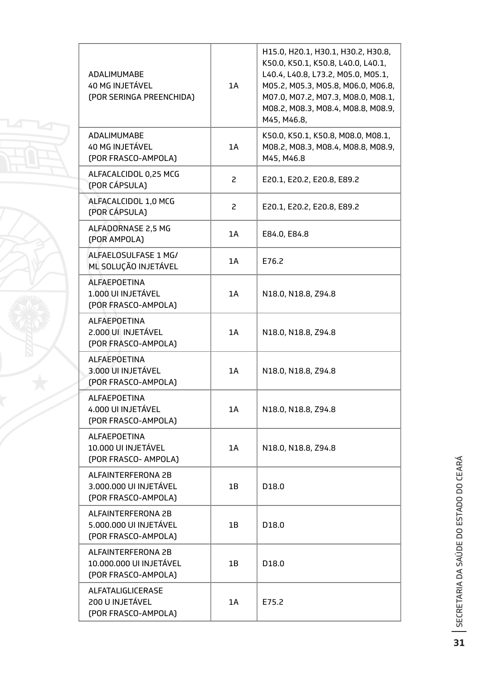| <b>ADALIMUMABE</b><br><b>40 MG INJETÁVEL</b><br>(POR SERINGA PREENCHIDA) | 1A | H15.0, H20.1, H30.1, H30.2, H30.8,<br>K50.0, K50.1, K50.8, L40.0, L40.1,<br>L40.4, L40.8, L73.2, M05.0, M05.1,<br>M05.2, M05.3, M05.8, M06.0, M06.8,<br>M07.0, M07.2, M07.3, M08.0, M08.1,<br>M08.2, M08.3, M08.4, M08.8, M08.9,<br>M45, M46.8. |
|--------------------------------------------------------------------------|----|-------------------------------------------------------------------------------------------------------------------------------------------------------------------------------------------------------------------------------------------------|
| <b>ADALIMUMABE</b><br><b>40 MG INJETÁVEL</b><br>(POR FRASCO-AMPOLA)      | 1A | K50.0, K50.1, K50.8, M08.0, M08.1,<br>M08.2, M08.3, M08.4, M08.8, M08.9,<br>M45, M46.8                                                                                                                                                          |
| ALFACALCIDOL 0,25 MCG<br>(POR CÁPSULA)                                   | 2  | E20.1, E20.2, E20.8, E89.2                                                                                                                                                                                                                      |
| ALFACALCIDOL 1,0 MCG<br>(POR CÁPSULA)                                    | 2  | E20.1, E20.2, E20.8, E89.2                                                                                                                                                                                                                      |
| ALFADORNASE 2.5 MG<br>(POR AMPOLA)                                       | 1A | E84.0, E84.8                                                                                                                                                                                                                                    |
| ALFAELOSULFASE 1 MG/<br>ML SOLUÇÃO INJETÁVEL                             | 1A | E76.2                                                                                                                                                                                                                                           |
| <b>ALFAEPOETINA</b><br>1.000 UI INJETÁVEL<br>(POR FRASCO-AMPOLA)         | 1A | N18.0, N18.8, Z94.8                                                                                                                                                                                                                             |
| <b>ALFAEPOETINA</b><br>2.000 UI INJETÁVEL<br>(POR FRASCO-AMPOLA)         | 1A | N18.0, N18.8, Z94.8                                                                                                                                                                                                                             |
| <b>ALFAEPOETINA</b><br>3.000 UI INJETÁVEL<br>(POR FRASCO-AMPOLA)         | 1A | N18.0, N18.8, Z94.8                                                                                                                                                                                                                             |
| ALFAEPOETINA<br>4.000 UI INJETÁVEL<br>(POR FRASCO-AMPOLA)                | 1A | N18.0, N18.8, Z94.8                                                                                                                                                                                                                             |
| <b>ALFAEPOETINA</b><br>10.000 UI INJETÁVEL<br>(POR FRASCO- AMPOLA)       | 1A | N18.0, N18.8, Z94.8                                                                                                                                                                                                                             |
| ALFAINTERFERONA 2B<br>3.000.000 UI INJETÁVEL<br>(POR FRASCO-AMPOLA)      | 1B | D <sub>18.0</sub>                                                                                                                                                                                                                               |
| ALFAINTERFERONA 2B<br>5.000.000 UI INJETÁVEL<br>(POR FRASCO-AMPOLA)      | 1B | D <sub>18.0</sub>                                                                                                                                                                                                                               |
| ALFAINTERFERONA 2B<br>10.000.000 UI INJETÁVEL<br>(POR FRASCO-AMPOLA)     | 1B | D <sub>18.0</sub>                                                                                                                                                                                                                               |
| ALFATALIGLICERASE<br>200 U INJETÁVEL<br>(POR FRASCO-AMPOLA)              | 1A | E75.2                                                                                                                                                                                                                                           |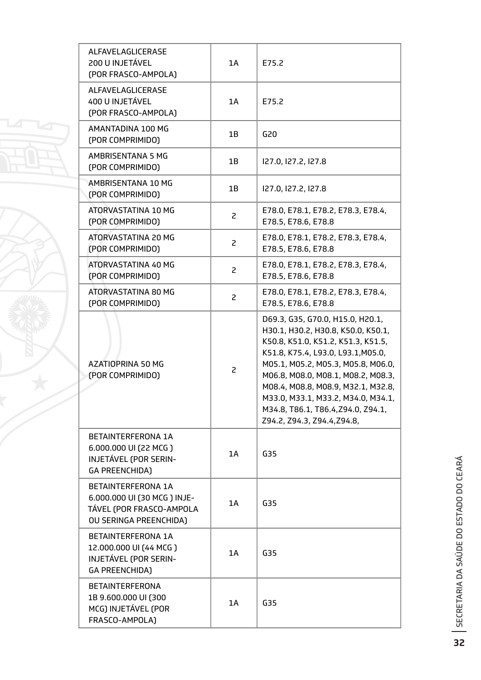| ALFAVELAGLICERASE<br>200 U INJETÁVEL<br>(POR FRASCO-AMPOLA)                                              | 1A             | E75.2                                                                                                                                                                                                                                                                                                                                                                           |
|----------------------------------------------------------------------------------------------------------|----------------|---------------------------------------------------------------------------------------------------------------------------------------------------------------------------------------------------------------------------------------------------------------------------------------------------------------------------------------------------------------------------------|
| ALFAVELAGLICERASE<br>400 U INJETÁVEL<br>(POR FRASCO-AMPOLA)                                              | 1A             | E75.2                                                                                                                                                                                                                                                                                                                                                                           |
| AMANTADINA 100 MG<br>(POR COMPRIMIDO)                                                                    | 1B             | G20                                                                                                                                                                                                                                                                                                                                                                             |
| AMBRISENTANA 5 MG<br>(POR COMPRIMIDO)                                                                    | 1B             | 127.0, 127.2, 127.8                                                                                                                                                                                                                                                                                                                                                             |
| AMBRISENTANA 10 MG<br>(POR COMPRIMIDO)                                                                   | 1B             | 127.0, 127.2, 127.8                                                                                                                                                                                                                                                                                                                                                             |
| ATORVASTATINA 10 MG<br>(POR COMPRIMIDO)                                                                  | $\overline{c}$ | E78.0, E78.1, E78.2, E78.3, E78.4,<br>E78.5, E78.6, E78.8                                                                                                                                                                                                                                                                                                                       |
| ATORVASTATINA 20 MG<br>(POR COMPRIMIDO)                                                                  | $\overline{c}$ | E78.0, E78.1, E78.2, E78.3, E78.4,<br>E78.5, E78.6, E78.8                                                                                                                                                                                                                                                                                                                       |
| ATORVASTATINA 40 MG<br>(POR COMPRIMIDO)                                                                  | $\overline{c}$ | E78.0, E78.1, E78.2, E78.3, E78.4,<br>E78.5, E78.6, E78.8                                                                                                                                                                                                                                                                                                                       |
| ATORVASTATINA 80 MG<br>(POR COMPRIMIDO)                                                                  | $\overline{c}$ | E78.0, E78.1, E78.2, E78.3, E78.4,<br>E78.5, E78.6, E78.8                                                                                                                                                                                                                                                                                                                       |
| AZATIOPRINA 50 MG<br>(POR COMPRIMIDO)                                                                    | $\mathsf{S}$   | D69.3, G35, G70.0, H15.0, H20.1,<br>H30.1, H30.2, H30.8, K50.0, K50.1,<br>K50.8, K51.0, K51.2, K51.3, K51.5,<br>K51.8, K75.4, L93.0, L93.1, M05.0,<br>M05.1, M05.2, M05.3, M05.8, M06.0,<br>M06.8, M08.0, M08.1, M08.2, M08.3,<br>M08.4, M08.8, M08.9, M32.1, M32.8,<br>M33.0, M33.1, M33.2, M34.0, M34.1,<br>M34.8, T86.1, T86.4, Z94.0, Z94.1,<br>Z94.2, Z94.3, Z94.4, Z94.8, |
| BETAINTERFERONA 1A<br>6.000.000 UI (22 MCG)<br>INJETÁVEL (POR SERIN-<br><b>GA PREENCHIDA)</b>            | 1A             | G35                                                                                                                                                                                                                                                                                                                                                                             |
| BETAINTERFERONA 1A<br>6.000.000 UI (30 MCG ) INJE-<br>TÁVEL (POR FRASCO-AMPOLA<br>OU SERINGA PREENCHIDA) | 1A             | G35                                                                                                                                                                                                                                                                                                                                                                             |
| BETAINTERFERONA 1A<br>12.000.000 UI (44 MCG)<br>INJETÁVEL (POR SERIN-<br><b>GA PREENCHIDA)</b>           | 1A             | G35                                                                                                                                                                                                                                                                                                                                                                             |
| <b>BETAINTERFERONA</b><br>1B 9.600.000 UI (300<br>MCG) INJETÁVEL (POR<br>FRASCO-AMPOLA)                  | 1A             | G35                                                                                                                                                                                                                                                                                                                                                                             |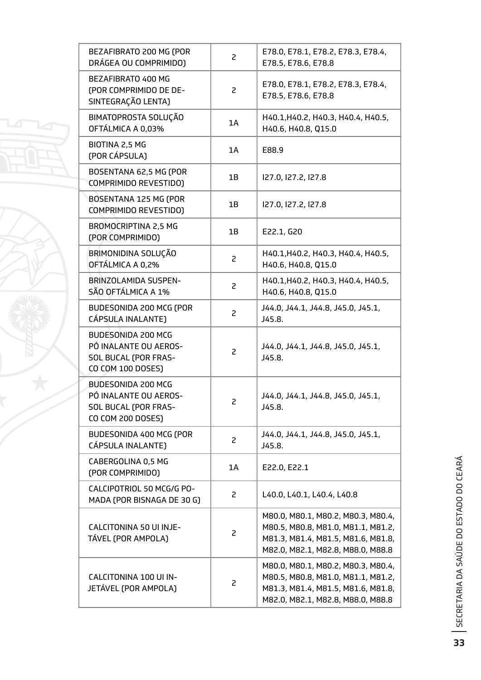| BEZAFIBRATO 200 MG (POR<br>DRÁGEA OU COMPRIMIDO)                                                | 2              | E78.0, E78.1, E78.2, E78.3, E78.4,<br>E78.5, E78.6, E78.8                                                                                           |
|-------------------------------------------------------------------------------------------------|----------------|-----------------------------------------------------------------------------------------------------------------------------------------------------|
| BEZAFIBRATO 400 MG<br>(POR COMPRIMIDO DE DE-<br>SINTEGRAÇÃO LENTA)                              | 2              | E78.0, E78.1, E78.2, E78.3, E78.4,<br>E78.5, E78.6, E78.8                                                                                           |
| BIMATOPROSTA SOLUÇÃO<br>OFTÁLMICA A 0,03%                                                       | 1A             | H40.1, H40.2, H40.3, H40.4, H40.5,<br>H40.6, H40.8, Q15.0                                                                                           |
| BIOTINA 2,5 MG<br>(POR CÁPSULA)                                                                 | 1A             | E88.9                                                                                                                                               |
| BOSENTANA 62,5 MG (POR<br><b>COMPRIMIDO REVESTIDO)</b>                                          | 1B             | I27.0, I27.2, I27.8                                                                                                                                 |
| BOSENTANA 125 MG (POR<br><b>COMPRIMIDO REVESTIDO)</b>                                           | 1B             | 127.0, 127.2, 127.8                                                                                                                                 |
| BROMOCRIPTINA 2,5 MG<br>(POR COMPRIMIDO)                                                        | 1B             | E22.1, G20                                                                                                                                          |
| BRIMONIDINA SOLUÇÃO<br>OFTÁLMICA A 0,2%                                                         | 2              | H40.1, H40.2, H40.3, H40.4, H40.5,<br>H40.6, H40.8, Q15.0                                                                                           |
| <b>BRINZOLAMIDA SUSPEN-</b><br>SÃO OFTÁLMICA A 1%                                               | $\overline{c}$ | H40.1, H40.2, H40.3, H40.4, H40.5,<br>H40.6, H40.8, Q15.0                                                                                           |
| BUDESONIDA 200 MCG (POR<br>CÁPSULA INALANTE)                                                    | 2              | J44.0, J44.1, J44.8, J45.0, J45.1,<br>J45.8.                                                                                                        |
| BUDESONIDA 200 MCG<br>PÓ INALANTE OU AEROS-<br>SOL BUCAL (POR FRAS-<br>CO COM 100 DOSES)        | 2              | J44.0, J44.1, J44.8, J45.0, J45.1,<br>J45.8.                                                                                                        |
| <b>BUDESONIDA 200 MCG</b><br>PÓ INALANTE OU AEROS-<br>SOL BUCAL (POR FRAS-<br>CO COM 200 DOSES) | 2              | J44.0, J44.1, J44.8, J45.0, J45.1,<br>J45.8.                                                                                                        |
| BUDESONIDA 400 MCG (POR<br>CÁPSULA INALANTE)                                                    | 2              | J44.0, J44.1, J44.8, J45.0, J45.1,<br>J45.8.                                                                                                        |
| CABERGOLINA 0,5 MG<br>(POR COMPRIMIDO)                                                          | 1A             | E22.0, E22.1                                                                                                                                        |
| CALCIPOTRIOL 50 MCG/G PO-<br>MADA (POR BISNAGA DE 30 G)                                         | 2              | L40.0, L40.1, L40.4, L40.8                                                                                                                          |
| CALCITONINA 50 UI INJE-<br>TÁVEL (POR AMPOLA)                                                   | 2              | M80.0, M80.1, M80.2, M80.3, M80.4,<br>M80.5, M80.8, M81.0, M81.1, M81.2,<br>M81.3, M81.4, M81.5, M81.6, M81.8,<br>M82.0, M82.1, M82.8, M88.0, M88.8 |
| CALCITONINA 100 UI IN-<br>JETÁVEL (POR AMPOLA)                                                  | 2              | M80.0, M80.1, M80.2, M80.3, M80.4,<br>M80.5, M80.8, M81.0, M81.1, M81.2,<br>M81.3, M81.4, M81.5, M81.6, M81.8,<br>M82.0, M82.1, M82.8, M88.0, M88.8 |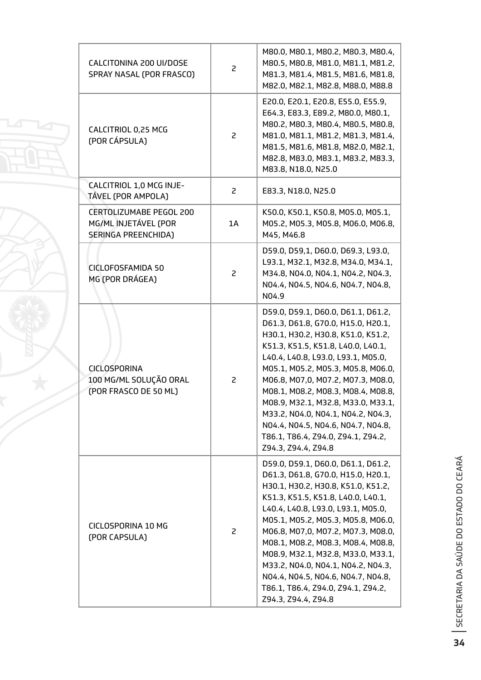| CALCITONINA 200 UI/DOSE<br>SPRAY NASAL (POR FRASCO)                    | 2  | M80.0, M80.1, M80.2, M80.3, M80.4,<br>M80.5, M80.8, M81.0, M81.1, M81.2,<br>M81.3, M81.4, M81.5, M81.6, M81.8,<br>M82.0, M82.1, M82.8, M88.0, M88.8                                                                                                                                                                                                                                                                                                                                         |
|------------------------------------------------------------------------|----|---------------------------------------------------------------------------------------------------------------------------------------------------------------------------------------------------------------------------------------------------------------------------------------------------------------------------------------------------------------------------------------------------------------------------------------------------------------------------------------------|
| CALCITRIOL 0,25 MCG<br>(POR CÁPSULA)                                   | 2  | E20.0, E20.1, E20.8, E55.0, E55.9,<br>E64.3, E83.3, E89.2, M80.0, M80.1,<br>M80.2, M80.3, M80.4, M80.5, M80.8,<br>M81.0, M81.1, M81.2, M81.3, M81.4,<br>M81.5, M81.6, M81.8, M82.0, M82.1,<br>M82.8, M83.0, M83.1, M83.2, M83.3,<br>M83.8, N18.0, N25.0                                                                                                                                                                                                                                     |
| CALCITRIOL 1,0 MCG INJE-<br>TÁVEL (POR AMPOLA)                         | 2  | E83.3, N18.0, N25.0                                                                                                                                                                                                                                                                                                                                                                                                                                                                         |
| CERTOLIZUMABE PEGOL 200<br>MG/ML INJETÁVEL (POR<br>SERINGA PREENCHIDA) | 1A | K50.0, K50.1, K50.8, M05.0, M05.1,<br>M05.2, M05.3, M05.8, M06.0, M06.8,<br>M45, M46.8                                                                                                                                                                                                                                                                                                                                                                                                      |
| <b>CICLOFOSFAMIDA 50</b><br>MG (POR DRÁGEA)                            | 2  | D59.0, D59,1, D60.0, D69.3, L93.0,<br>L93.1, M32.1, M32.8, M34.0, M34.1,<br>M34.8, N04.0, N04.1, N04.2, N04.3,<br>N04.4, N04.5, N04.6, N04.7, N04.8,<br>N04.9                                                                                                                                                                                                                                                                                                                               |
| <b>CICLOSPORINA</b><br>100 MG/ML SOLUÇÃO ORAL<br>(POR FRASCO DE 50 ML) | 2  | D59.0, D59.1, D60.0, D61.1, D61.2,<br>D61.3, D61.8, G70.0, H15.0, H20.1,<br>H30.1, H30.2, H30.8, K51.0, K51.2,<br>K51.3, K51.5, K51.8, L40.0, L40.1,<br>L40.4, L40.8, L93.0, L93.1, M05.0,<br>M05.1, M05.2, M05.3, M05.8, M06.0,<br>M06.8, M07,0, M07.2, M07.3, M08.0,<br>M08.1, M08.2, M08.3, M08.4, M08.8,<br>M08.9, M32.1, M32.8, M33.0, M33.1,<br>M33.2, N04.0, N04.1, N04.2, N04.3,<br>N04.4, N04.5, N04.6, N04.7, N04.8,<br>T86.1, T86.4, Z94.0, Z94.1, Z94.2,<br>Z94.3, Z94.4, Z94.8 |
| CICLOSPORINA 10 MG<br>(POR CAPSULA)                                    | 2  | D59.0, D59.1, D60.0, D61.1, D61.2,<br>D61.3, D61.8, G70.0, H15.0, H20.1,<br>H30.1, H30.2, H30.8, K51.0, K51.2,<br>K51.3, K51.5, K51.8, L40.0, L40.1,<br>L40.4, L40.8, L93.0, L93.1, M05.0,<br>M05.1, M05.2, M05.3, M05.8, M06.0,<br>M06.8, M07,0, M07.2, M07.3, M08.0,<br>M08.1, M08.2, M08.3, M08.4, M08.8,<br>M08.9, M32.1, M32.8, M33.0, M33.1,<br>M33.2, N04.0, N04.1, N04.2, N04.3,<br>N04.4, N04.5, N04.6, N04.7, N04.8,<br>T86.1, T86.4, Z94.0, Z94.1, Z94.2,<br>Z94.3, Z94.4, Z94.8 |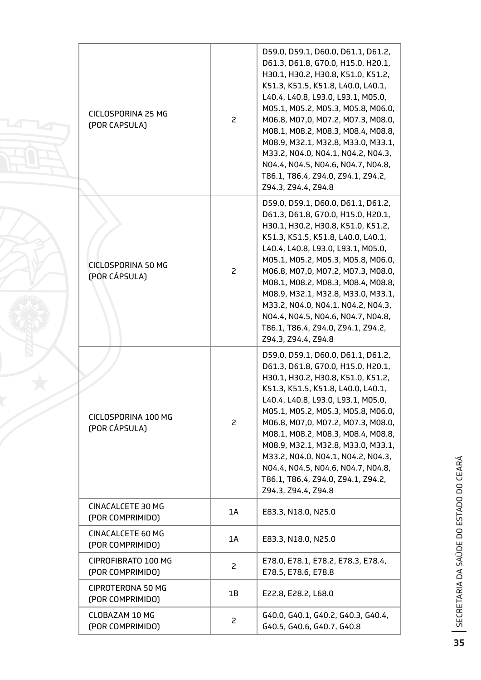| CICLOSPORINA 25 MG<br>(POR CAPSULA)          | $\overline{c}$ | D59.0, D59.1, D60.0, D61.1, D61.2,<br>D61.3, D61.8, G70.0, H15.0, H20.1,<br>H30.1, H30.2, H30.8, K51.0, K51.2,<br>K51.3, K51.5, K51.8, L40.0, L40.1,<br>L40.4, L40.8, L93.0, L93.1, M05.0,<br>M05.1, M05.2, M05.3, M05.8, M06.0,<br>M06.8, M07,0, M07.2, M07.3, M08.0,<br>M08.1, M08.2, M08.3, M08.4, M08.8,<br>M08.9, M32.1, M32.8, M33.0, M33.1,<br>M33.2, N04.0, N04.1, N04.2, N04.3,<br>N04.4, N04.5, N04.6, N04.7, N04.8,<br>T86.1, T86.4, Z94.0, Z94.1, Z94.2,<br>Z94.3, Z94.4, Z94.8 |
|----------------------------------------------|----------------|---------------------------------------------------------------------------------------------------------------------------------------------------------------------------------------------------------------------------------------------------------------------------------------------------------------------------------------------------------------------------------------------------------------------------------------------------------------------------------------------|
| <b>CICLOSPORINA 50 MG</b><br>(POR CÁPSULA)   | $\mathsf{S}$   | D59.0, D59.1, D60.0, D61.1, D61.2,<br>D61.3, D61.8, G70.0, H15.0, H20.1,<br>H30.1, H30.2, H30.8, K51.0, K51.2,<br>K51.3, K51.5, K51.8, L40.0, L40.1,<br>L40.4, L40.8, L93.0, L93.1, M05.0,<br>M05.1, M05.2, M05.3, M05.8, M06.0,<br>M06.8, M07,0, M07.2, M07.3, M08.0,<br>M08.1, M08.2, M08.3, M08.4, M08.8,<br>M08.9, M32.1, M32.8, M33.0, M33.1,<br>M33.2, N04.0, N04.1, N04.2, N04.3,<br>N04.4, N04.5, N04.6, N04.7, N04.8,<br>T86.1, T86.4, Z94.0, Z94.1, Z94.2,<br>Z94.3, Z94.4, Z94.8 |
| CICLOSPORINA 100 MG<br>(POR CÁPSULA)         | $\overline{c}$ | D59.0, D59.1, D60.0, D61.1, D61.2,<br>D61.3, D61.8, G70.0, H15.0, H20.1,<br>H30.1, H30.2, H30.8, K51.0, K51.2,<br>K51.3, K51.5, K51.8, L40.0, L40.1,<br>L40.4, L40.8, L93.0, L93.1, M05.0,<br>M05.1, M05.2, M05.3, M05.8, M06.0,<br>M06.8, M07,0, M07.2, M07.3, M08.0,<br>M08.1, M08.2, M08.3, M08.4, M08.8,<br>M08.9, M32.1, M32.8, M33.0, M33.1,<br>M33.2, N04.0, N04.1, N04.2, N04.3,<br>N04.4, N04.5, N04.6, N04.7, N04.8,<br>T86.1, T86.4, Z94.0, Z94.1, Z94.2,<br>Z94.3, Z94.4, Z94.8 |
| CINACALCETE 30 MG<br>(POR COMPRIMIDO)        | 1A             | E83.3, N18.0, N25.0                                                                                                                                                                                                                                                                                                                                                                                                                                                                         |
| <b>CINACALCETE 60 MG</b><br>(POR COMPRIMIDO) | 1A             | E83.3, N18.0, N25.0                                                                                                                                                                                                                                                                                                                                                                                                                                                                         |
| CIPROFIBRATO 100 MG<br>(POR COMPRIMIDO)      | $\overline{c}$ | E78.0, E78.1, E78.2, E78.3, E78.4,<br>E78.5, E78.6, E78.8                                                                                                                                                                                                                                                                                                                                                                                                                                   |
| <b>CIPROTERONA 50 MG</b><br>(POR COMPRIMIDO) | 1B             | E22.8, E28.2, L68.0                                                                                                                                                                                                                                                                                                                                                                                                                                                                         |
| <b>CLOBAZAM 10 MG</b><br>(POR COMPRIMIDO)    | 2              | G40.0, G40.1, G40.2, G40.3, G40.4,<br>G40.5, G40.6, G40.7, G40.8                                                                                                                                                                                                                                                                                                                                                                                                                            |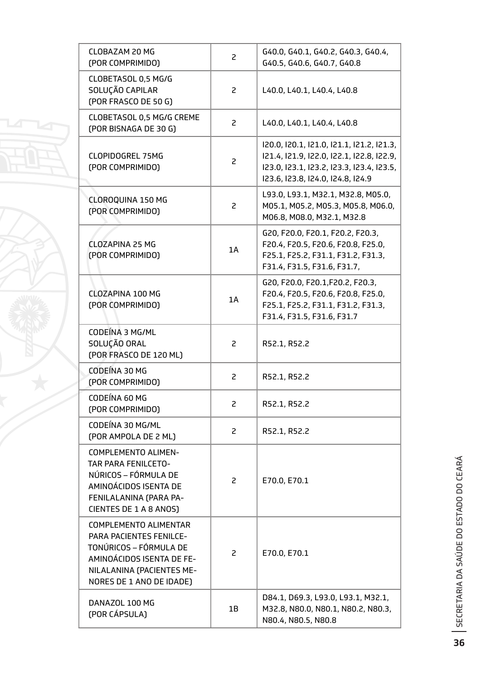| <b>CLOBAZAM 20 MG</b><br>(POR COMPRIMIDO)                                                                                                                                      | $\mathsf{S}$   | G40.0, G40.1, G40.2, G40.3, G40.4,<br>G40.5, G40.6, G40.7, G40.8                                                                                                         |
|--------------------------------------------------------------------------------------------------------------------------------------------------------------------------------|----------------|--------------------------------------------------------------------------------------------------------------------------------------------------------------------------|
| CLOBETASOL 0,5 MG/G<br>SOLUÇÃO CAPILAR<br>(POR FRASCO DE 50 G)                                                                                                                 | 2              | L40.0, L40.1, L40.4, L40.8                                                                                                                                               |
| CLOBETASOL 0,5 MG/G CREME<br>(POR BISNAGA DE 30 G)                                                                                                                             | $\overline{c}$ | L40.0, L40.1, L40.4, L40.8                                                                                                                                               |
| <b>CLOPIDOGREL 75MG</b><br>(POR COMPRIMIDO)                                                                                                                                    | $\overline{c}$ | 120.0, 120.1, 121.0, 121.1, 121.2, 121.3,<br>121.4, 121.9, 122.0, 122.1, 122.8, 122.9,<br>123.0, 123.1, 123.2, 123.3, 123.4, 123.5,<br>123.6, 123.8, 124.0, 124.8, 124.9 |
| <b>CLOROQUINA 150 MG</b><br>(POR COMPRIMIDO)                                                                                                                                   | $\overline{c}$ | L93.0, L93.1, M32.1, M32.8, M05.0,<br>M05.1, M05.2, M05.3, M05.8, M06.0,<br>M06.8, M08.0, M32.1, M32.8                                                                   |
| <b>CLOZAPINA 25 MG</b><br>(POR COMPRIMIDO)                                                                                                                                     | 1A             | G20, F20.0, F20.1, F20.2, F20.3,<br>F20.4, F20.5, F20.6, F20.8, F25.0,<br>F25.1, F25.2, F31.1, F31.2, F31.3,<br>F31.4, F31.5, F31.6, F31.7,                              |
| <b>CLOZAPINA 100 MG</b><br>(POR COMPRIMIDO)                                                                                                                                    | 1A             | G20, F20.0, F20.1, F20.2, F20.3,<br>F20.4, F20.5, F20.6, F20.8, F25.0,<br>F25.1, F25.2, F31.1, F31.2, F31.3,<br>F31.4, F31.5, F31.6, F31.7                               |
| CODEÍNA 3 MG/ML<br>SOLUÇÃO ORAL<br>(POR FRASCO DE 120 ML)                                                                                                                      | 2              | R52.1, R52.2                                                                                                                                                             |
| CODEÍNA 30 MG<br>(POR COMPRIMIDO)                                                                                                                                              | 2              | R52.1, R52.2                                                                                                                                                             |
| CODEÍNA 60 MG<br>(POR COMPRIMIDO)                                                                                                                                              | 2              | R52.1, R52.2                                                                                                                                                             |
| CODEÍNA 30 MG/ML<br>(POR AMPOLA DE 2 ML)                                                                                                                                       | 2              | R52.1, R52.2                                                                                                                                                             |
| <b>COMPLEMENTO ALIMEN-</b><br><b>TAR PARA FENILCETO-</b><br>NÚRICOS – FÓRMULA DE<br>AMINOÁCIDOS ISENTA DE<br>FENILALANINA (PARA PA-<br>CIENTES DE 1 A 8 ANOS)                  | 2              | E70.0, E70.1                                                                                                                                                             |
| <b>COMPLEMENTO ALIMENTAR</b><br><b>PARA PACIENTES FENILCE-</b><br>TONÚRICOS – FÓRMULA DE<br>AMINOÁCIDOS ISENTA DE FE-<br>NILALANINA (PACIENTES ME-<br>NORES DE 1 ANO DE IDADE) | 2              | E70.0, E70.1                                                                                                                                                             |
| DANAZOL 100 MG<br>(POR CÁPSULA)                                                                                                                                                | 1B             | D84.1, D69.3, L93.0, L93.1, M32.1,<br>M32.8, N80.0, N80.1, N80.2, N80.3,<br>N80.4, N80.5, N80.8                                                                          |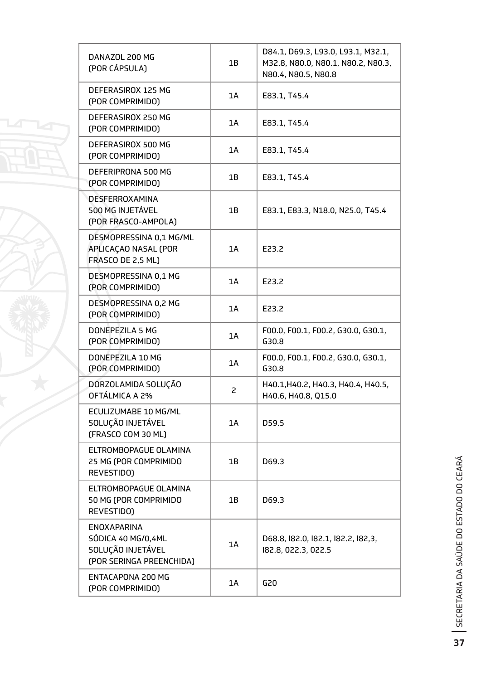| DANAZOL 200 MG<br>(POR CÁPSULA)                                                           | 1B             | D84.1, D69.3, L93.0, L93.1, M32.1,<br>M32.8, N80.0, N80.1, N80.2, N80.3,<br>N80.4, N80.5, N80.8 |
|-------------------------------------------------------------------------------------------|----------------|-------------------------------------------------------------------------------------------------|
| DEFERASIROX 125 MG<br>(POR COMPRIMIDO)                                                    | 1A             | E83.1, T45.4                                                                                    |
| DEFERASIROX 250 MG<br>(POR COMPRIMIDO)                                                    | 1A             | E83.1, T45.4                                                                                    |
| DEFERASIROX 500 MG<br>(POR COMPRIMIDO)                                                    | 1A             | E83.1, T45.4                                                                                    |
| DEFERIPRONA 500 MG<br>(POR COMPRIMIDO)                                                    | 1Β             | E83.1, T45.4                                                                                    |
| <b>DESFERROXAMINA</b><br>500 MG INJETÁVEL<br>(POR FRASCO-AMPOLA)                          | 1B             | E83.1, E83.3, N18.0, N25.0, T45.4                                                               |
| DESMOPRESSINA 0,1 MG/ML<br>APLICAÇAO NASAL (POR<br>FRASCO DE 2,5 ML)                      | 1A             | E23.2                                                                                           |
| DESMOPRESSINA 0,1 MG<br>(POR COMPRIMIDO)                                                  | 1A             | E23.2                                                                                           |
| DESMOPRESSINA 0,2 MG<br>(POR COMPRIMIDO)                                                  | 1A             | E23.2                                                                                           |
| DONEPEZILA 5 MG<br>(POR COMPRIMIDO)                                                       | 1A             | F00.0, F00.1, F00.2, G30.0, G30.1,<br>G30.8                                                     |
| DONEPEZILA 10 MG<br>(POR COMPRIMIDO)                                                      | 1A             | F00.0, F00.1, F00.2, G30.0, G30.1,<br>G30.8                                                     |
| DORZOLAMIDA SOLUÇÃO<br>OFTÁLMICA A 2%                                                     | $\overline{c}$ | H40.1, H40.2, H40.3, H40.4, H40.5,<br>H40.6, H40.8, Q15.0                                       |
| ECULIZUMABE 10 MG/ML<br>SOLUÇÃO INJETÁVEL<br>(FRASCO COM 30 ML)                           | 1A             | D59.5                                                                                           |
| ELTROMBOPAGUE OLAMINA<br>25 MG (POR COMPRIMIDO<br>REVESTIDO)                              | 1B             | D69.3                                                                                           |
| ELTROMBOPAGUE OLAMINA<br>50 MG (POR COMPRIMIDO<br>REVESTIDO)                              | 1B             | D69.3                                                                                           |
| <b>ENOXAPARINA</b><br>SÓDICA 40 MG/0,4ML<br>SOLUÇÃO INJETÁVEL<br>(POR SERINGA PREENCHIDA) | 1A             | D68.8, 182.0, 182.1, 182.2, 182,3,<br>182.8, 022.3, 022.5                                       |
| ENTACAPONA 200 MG<br>(POR COMPRIMIDO)                                                     | 1A             | G20                                                                                             |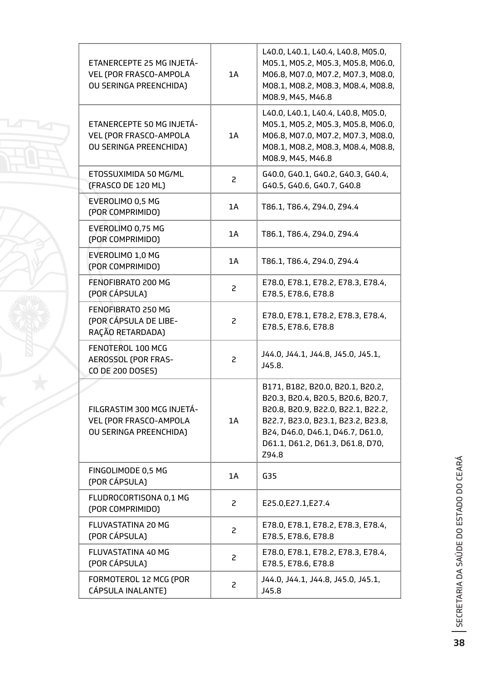| ETANERCEPTE 25 MG INJETÁ-<br>VEL (POR FRASCO-AMPOLA<br>OU SERINGA PREENCHIDA)  | 1A | L40.0, L40.1, L40.4, L40.8, M05.0,<br>M05.1, M05.2, M05.3, M05.8, M06.0,<br>M06.8, M07.0, M07.2, M07.3, M08.0,<br>M08.1, M08.2, M08.3, M08.4, M08.8,<br>M08.9, M45, M46.8                                                           |
|--------------------------------------------------------------------------------|----|-------------------------------------------------------------------------------------------------------------------------------------------------------------------------------------------------------------------------------------|
| ETANERCEPTE 50 MG INJETÁ-<br>VEL (POR FRASCO-AMPOLA<br>OU SERINGA PREENCHIDA)  | 1A | L40.0, L40.1, L40.4, L40.8, M05.0,<br>M05.1, M05.2, M05.3, M05.8, M06.0,<br>M06.8, M07.0, M07.2, M07.3, M08.0,<br>M08.1, M08.2, M08.3, M08.4, M08.8,<br>M08.9, M45, M46.8                                                           |
| ETOSSUXIMIDA 50 MG/ML<br>(FRASCO DE 120 ML)                                    | 2  | G40.0, G40.1, G40.2, G40.3, G40.4,<br>G40.5, G40.6, G40.7, G40.8                                                                                                                                                                    |
| EVEROLIMO 0,5 MG<br>(POR COMPRIMIDO)                                           | 1A | T86.1, T86.4, Z94.0, Z94.4                                                                                                                                                                                                          |
| EVEROLIMO 0,75 MG<br>(POR COMPRIMIDO)                                          | 1A | T86.1, T86.4, Z94.0, Z94.4                                                                                                                                                                                                          |
| EVEROLIMO 1,0 MG<br>(POR COMPRIMIDO)                                           | 1A | T86.1, T86.4, Z94.0, Z94.4                                                                                                                                                                                                          |
| FENOFIBRATO 200 MG<br>(POR CÁPSULA)                                            | 2  | E78.0, E78.1, E78.2, E78.3, E78.4,<br>E78.5, E78.6, E78.8                                                                                                                                                                           |
| FENOFIBRATO 250 MG<br>(POR CÁPSULA DE LIBE-<br>RAÇÃO RETARDADA)                | 2  | E78.0, E78.1, E78.2, E78.3, E78.4,<br>E78.5, E78.6, E78.8                                                                                                                                                                           |
| FENOTEROL 100 MCG<br>AEROSSOL (POR FRAS-<br>CO DE 200 DOSES)                   | 2  | J44.0, J44.1, J44.8, J45.0, J45.1,<br>J45.8.                                                                                                                                                                                        |
| FILGRASTIM 300 MCG INJETÁ-<br>VEL (POR FRASCO-AMPOLA<br>OU SERINGA PREENCHIDA) | 1A | B171, B182, B20.0, B20.1, B20.2,<br>B20.3, B20.4, B20.5, B20.6, B20.7,<br>B20.8, B20.9, B22.0, B22.1, B22.2,<br>B22.7, B23.0, B23.1, B23.2, B23.8,<br>B24, D46.0, D46.1, D46.7, D61.0,<br>D61.1, D61.2, D61.3, D61.8, D70,<br>Z94.8 |
| FINGOLIMODE 0,5 MG<br>(POR CÁPSULA)                                            | 1A | G35                                                                                                                                                                                                                                 |
| FLUDROCORTISONA 0,1 MG<br>(POR COMPRIMIDO)                                     | 2  | E25.0, E27.1, E27.4                                                                                                                                                                                                                 |
| FLUVASTATINA 20 MG<br>(POR CÁPSULA)                                            | 2  | E78.0, E78.1, E78.2, E78.3, E78.4,<br>E78.5, E78.6, E78.8                                                                                                                                                                           |
| FLUVASTATINA 40 MG<br>(POR CÁPSULA)                                            | 2  | E78.0, E78.1, E78.2, E78.3, E78.4,<br>E78.5, E78.6, E78.8                                                                                                                                                                           |
| FORMOTEROL 12 MCG (POR<br>CÁPSULA INALANTE)                                    | 2  | J44.0, J44.1, J44.8, J45.0, J45.1,<br>J45.8                                                                                                                                                                                         |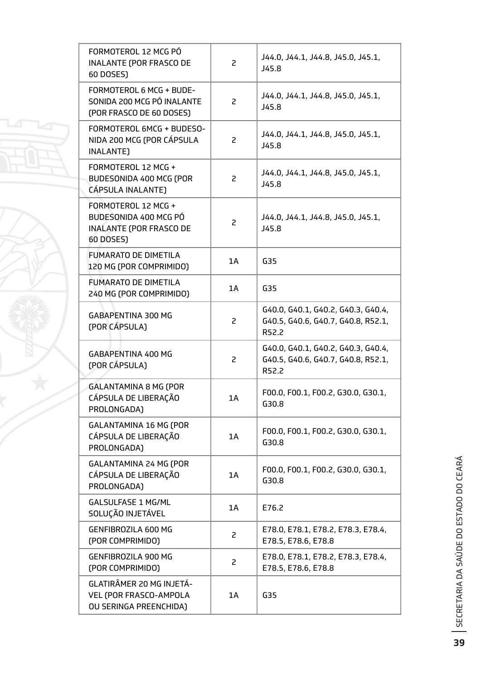| FORMOTEROL 12 MCG PÓ<br><b>INALANTE (POR FRASCO DE</b><br>60 DOSES)                         | $\overline{c}$ | J44.0, J44.1, J44.8, J45.0, J45.1,<br>J45.8                                       |
|---------------------------------------------------------------------------------------------|----------------|-----------------------------------------------------------------------------------|
| FORMOTEROL 6 MCG + BUDE-<br>SONIDA 200 MCG PÓ INALANTE<br>(POR FRASCO DE 60 DOSES)          | 2              | J44.0, J44.1, J44.8, J45.0, J45.1,<br>J45.8                                       |
| FORMOTEROL 6MCG + BUDESO-<br>NIDA 200 MCG (POR CÁPSULA<br>INALANTE)                         | 2              | J44.0, J44.1, J44.8, J45.0, J45.1,<br>J45.8                                       |
| FORMOTEROL 12 MCG +<br>BUDESONIDA 400 MCG (POR<br>CÁPSULA INALANTE)                         | 2              | J44.0, J44.1, J44.8, J45.0, J45.1,<br>J45.8                                       |
| FORMOTEROL 12 MCG +<br>BUDESONIDA 400 MCG PÓ<br><b>INALANTE (POR FRASCO DE</b><br>60 DOSES) | 2              | J44.0, J44.1, J44.8, J45.0, J45.1,<br>J45.8                                       |
| <b>FUMARATO DE DIMETILA</b><br>120 MG (POR COMPRIMIDO)                                      | 1A             | G35                                                                               |
| <b>FUMARATO DE DIMETILA</b><br>240 MG (POR COMPRIMIDO)                                      | 1A             | G35                                                                               |
| <b>GABAPENTINA 300 MG</b><br>(POR CÁPSULA)                                                  | 2              | G40.0, G40.1, G40.2, G40.3, G40.4,<br>G40.5, G40.6, G40.7, G40.8, R52.1,<br>R52.2 |
| GABAPENTINA 400 MG<br>(POR CÁPSULA)                                                         | 2              | G40.0, G40.1, G40.2, G40.3, G40.4,<br>G40.5, G40.6, G40.7, G40.8, R52.1,<br>R52.2 |
| <b>GALANTAMINA 8 MG (POR</b><br>CÁPSULA DE LIBERAÇÃO<br>PROLONGADA)                         | 1A             | F00.0, F00.1, F00.2, G30.0, G30.1,<br>G30.8                                       |
| <b>GALANTAMINA 16 MG (POR</b><br>CÁPSULA DE LIBERAÇÃO<br>PROLONGADA)                        | 1A             | F00.0, F00.1, F00.2, G30.0, G30.1,<br>G30.8                                       |
| <b>GALANTAMINA 24 MG (POR</b><br>CÁPSULA DE LIBERAÇÃO<br>PROLONGADA)                        | 1A             | F00.0, F00.1, F00.2, G30.0, G30.1,<br>G30.8                                       |
| <b>GALSULFASE 1 MG/ML</b><br>SOLUÇÃO INJETÁVEL                                              | 1A             | E76.2                                                                             |
| <b>GENFIBROZILA 600 MG</b><br>(POR COMPRIMIDO)                                              | 2              | E78.0, E78.1, E78.2, E78.3, E78.4,<br>E78.5, E78.6, E78.8                         |
| <b>GENFIBROZILA 900 MG</b><br>(POR COMPRIMIDO)                                              | 2              | E78.0, E78.1, E78.2, E78.3, E78.4,<br>E78.5, E78.6, E78.8                         |
| GLATIRÂMER 20 MG INJETÁ-<br>VEL (POR FRASCO-AMPOLA<br>OU SERINGA PREENCHIDA)                | 1A             | G <sub>35</sub>                                                                   |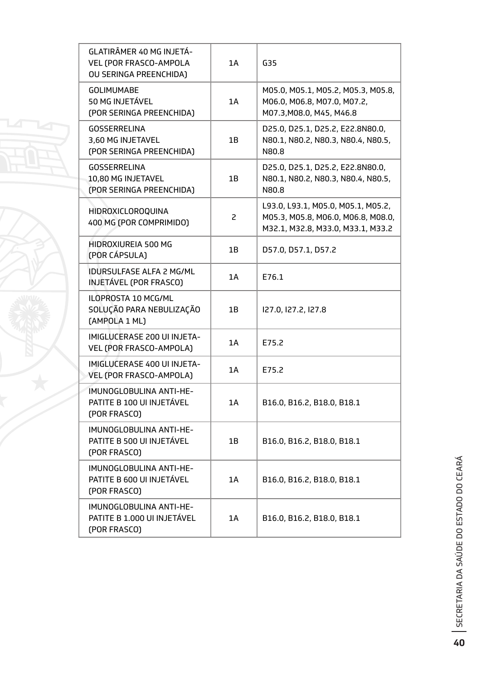| GLATIRÂMER 40 MG INJETÁ-<br>VEL (POR FRASCO-AMPOLA<br>OU SERINGA PREENCHIDA) | 1A             | G35                                                                                                           |
|------------------------------------------------------------------------------|----------------|---------------------------------------------------------------------------------------------------------------|
| <b>GOLIMUMABE</b><br>50 MG INJETÁVEL<br>(POR SERINGA PREENCHIDA)             | 1A             | M05.0, M05.1, M05.2, M05.3, M05.8,<br>M06.0, M06.8, M07.0, M07.2,<br>M07.3, M08.0, M45, M46.8                 |
| <b>GOSSERRELINA</b><br>3,60 MG INJETAVEL<br>(POR SERINGA PREENCHIDA)         | 1B             | D25.0, D25.1, D25.2, E22.8N80.0,<br>N80.1, N80.2, N80.3, N80.4, N80.5,<br>N80.8                               |
| <b>GOSSERRELINA</b><br>10,80 MG INJETAVEL<br>(POR SERINGA PREENCHIDA)        | 1B             | D25.0, D25.1, D25.2, E22.8N80.0,<br>N80.1, N80.2, N80.3, N80.4, N80.5,<br>N80.8                               |
| <b>HIDROXICLOROQUINA</b><br>400 MG (POR COMPRIMIDO)                          | $\overline{c}$ | L93.0, L93.1, M05.0, M05.1, M05.2,<br>M05.3, M05.8, M06.0, M06.8, M08.0,<br>M32.1, M32.8, M33.0, M33.1, M33.2 |
| HIDROXIUREIA 500 MG<br>(POR CÁPSULA)                                         | 1B             | D57.0, D57.1, D57.2                                                                                           |
| <b>IDURSULFASE ALFA 2 MG/ML</b><br>INJETÁVEL (POR FRASCO)                    | 1A             | E76.1                                                                                                         |
| ILOPROSTA 10 MCG/ML<br>SOLUÇÃO PARA NEBULIZAÇÃO<br>(AMPOLA 1 ML)             | 1B             | I27.0, I27.2, I27.8                                                                                           |
| IMIGLUCERASE 200 UI INJETA-<br>VEL (POR FRASCO-AMPOLA)                       | 1A             | E75.2                                                                                                         |
| IMIGLUCERASE 400 UI INJETA-<br>VEL (POR FRASCO-AMPOLA)                       | 1A             | E75.2                                                                                                         |
| IMUNOGLOBULINA ANTI-HE-<br>PATITE B 100 UI INJETÁVEL<br>(POR FRASCO)         | 1A             | B16.0, B16.2, B18.0, B18.1                                                                                    |
| IMUNOGLOBULINA ANTI-HE-<br>PATITE B 500 UI INJETÁVEL<br>(POR FRASCO)         | 1B             | B16.0, B16.2, B18.0, B18.1                                                                                    |
| IMUNOGLOBULINA ANTI-HE-<br>PATITE B 600 UI INJETÁVEL<br>(POR FRASCO)         | 1A             | B16.0, B16.2, B18.0, B18.1                                                                                    |
| IMUNOGLOBULINA ANTI-HE-<br>PATITE B 1.000 UI INJETÁVEL<br>(POR FRASCO)       | 1A             | B16.0, B16.2, B18.0, B18.1                                                                                    |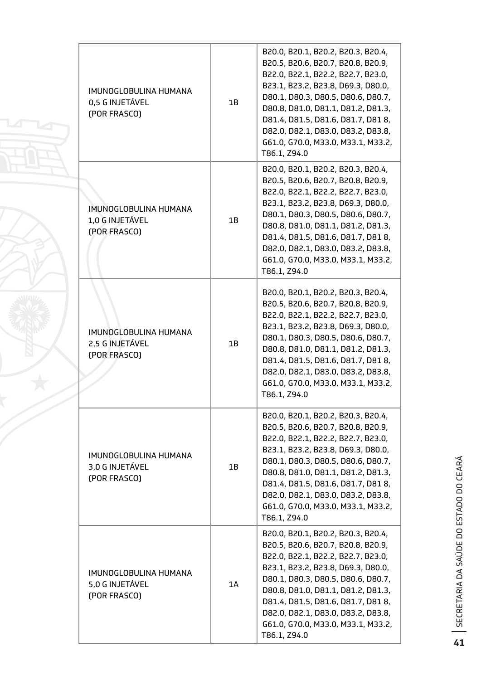| IMUNOGLOBULINA HUMANA<br>0,5 G INJETÁVEL<br>(POR FRASCO) | 1B | B20.0, B20.1, B20.2, B20.3, B20.4,<br>B20.5, B20.6, B20.7, B20.8, B20.9,<br>B22.0, B22.1, B22.2, B22.7, B23.0,<br>B23.1, B23.2, B23.8, D69.3, D80.0,<br>D80.1, D80.3, D80.5, D80.6, D80.7,<br>D80.8, D81.0, D81.1, D81.2, D81.3,<br>D81.4, D81.5, D81.6, D81.7, D81 8,<br>D82.0, D82.1, D83.0, D83.2, D83.8,<br>G61.0, G70.0, M33.0, M33.1, M33.2,<br>T86.1, Z94.0 |
|----------------------------------------------------------|----|--------------------------------------------------------------------------------------------------------------------------------------------------------------------------------------------------------------------------------------------------------------------------------------------------------------------------------------------------------------------|
| IMUNOGLOBULINA HUMANA<br>1,0 G INJETÁVEL<br>(POR FRASCO) | 1B | B20.0, B20.1, B20.2, B20.3, B20.4,<br>B20.5, B20.6, B20.7, B20.8, B20.9,<br>B22.0, B22.1, B22.2, B22.7, B23.0,<br>B23.1, B23.2, B23.8, D69.3, D80.0,<br>D80.1, D80.3, D80.5, D80.6, D80.7,<br>D80.8, D81.0, D81.1, D81.2, D81.3,<br>D81.4, D81.5, D81.6, D81.7, D81 8,<br>D82.0, D82.1, D83.0, D83.2, D83.8,<br>G61.0, G70.0, M33.0, M33.1, M33.2,<br>T86.1, Z94.0 |
| IMUNOGLOBULINA HUMANA<br>2,5 G INJETÁVEL<br>(POR FRASCO) | 1B | B20.0, B20.1, B20.2, B20.3, B20.4,<br>B20.5, B20.6, B20.7, B20.8, B20.9,<br>B22.0, B22.1, B22.2, B22.7, B23.0,<br>B23.1, B23.2, B23.8, D69.3, D80.0,<br>D80.1, D80.3, D80.5, D80.6, D80.7,<br>D80.8, D81.0, D81.1, D81.2, D81.3,<br>D81.4, D81.5, D81.6, D81.7, D81 8,<br>D82.0, D82.1, D83.0, D83.2, D83.8,<br>G61.0, G70.0, M33.0, M33.1, M33.2,<br>T86.1, Z94.0 |
| IMUNOGLOBULINA HUMANA<br>3,0 G INJETÁVEL<br>(POR FRASCO) | 1B | B20.0, B20.1, B20.2, B20.3, B20.4,<br>B20.5, B20.6, B20.7, B20.8, B20.9,<br>B22.0, B22.1, B22.2, B22.7, B23.0,<br>B23.1, B23.2, B23.8, D69.3, D80.0,<br>D80.1, D80.3, D80.5, D80.6, D80.7,<br>D80.8, D81.0, D81.1, D81.2, D81.3,<br>D81.4, D81.5, D81.6, D81.7, D81 8,<br>D82.0, D82.1, D83.0, D83.2, D83.8,<br>G61.0, G70.0, M33.0, M33.1, M33.2,<br>T86.1, Z94.0 |
| IMUNOGLOBULINA HUMANA<br>5,0 G INJETÁVEL<br>(POR FRASCO) | 1A | B20.0, B20.1, B20.2, B20.3, B20.4,<br>B20.5, B20.6, B20.7, B20.8, B20.9,<br>B22.0, B22.1, B22.2, B22.7, B23.0,<br>B23.1, B23.2, B23.8, D69.3, D80.0,<br>D80.1, D80.3, D80.5, D80.6, D80.7,<br>D80.8, D81.0, D81.1, D81.2, D81.3,<br>D81.4, D81.5, D81.6, D81.7, D81 8,<br>D82.0, D82.1, D83.0, D83.2, D83.8,<br>G61.0, G70.0, M33.0, M33.1, M33.2,<br>T86.1, Z94.0 |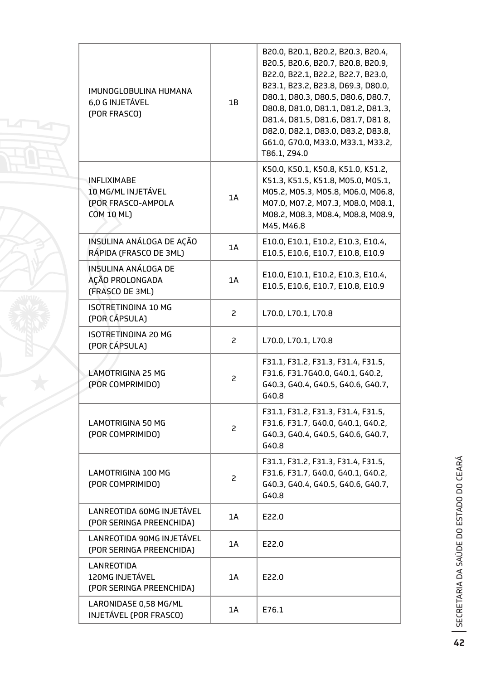| IMUNOGLOBULINA HUMANA<br>6,0 G INJETÁVEL<br>(POR FRASCO)                            | 1B | B20.0, B20.1, B20.2, B20.3, B20.4,<br>B20.5, B20.6, B20.7, B20.8, B20.9,<br>B22.0, B22.1, B22.2, B22.7, B23.0,<br>B23.1, B23.2, B23.8, D69.3, D80.0,<br>D80.1, D80.3, D80.5, D80.6, D80.7,<br>D80.8, D81.0, D81.1, D81.2, D81.3,<br>D81.4, D81.5, D81.6, D81.7, D818,<br>D82.0, D82.1, D83.0, D83.2, D83.8,<br>G61.0, G70.0, M33.0, M33.1, M33.2,<br>T86.1, Z94.0 |
|-------------------------------------------------------------------------------------|----|-------------------------------------------------------------------------------------------------------------------------------------------------------------------------------------------------------------------------------------------------------------------------------------------------------------------------------------------------------------------|
| <b>INFLIXIMABE</b><br>10 MG/ML INJETÁVEL<br>(POR FRASCO-AMPOLA<br><b>COM 10 ML)</b> | 1A | K50.0, K50.1, K50.8, K51.0, K51.2,<br>K51.3, K51.5, K51.8, M05.0, M05.1,<br>M05.2, M05.3, M05.8, M06.0, M06.8,<br>M07.0, M07.2, M07.3, M08.0, M08.1,<br>M08.2, M08.3, M08.4, M08.8, M08.9,<br>M45, M46.8                                                                                                                                                          |
| INSULINA ANÁLOGA DE AÇÃO<br>RÁPIDA (FRASCO DE 3ML)                                  | 1A | E10.0, E10.1, E10.2, E10.3, E10.4,<br>E10.5, E10.6, E10.7, E10.8, E10.9                                                                                                                                                                                                                                                                                           |
| INSULINA ANÁLOGA DE<br>AÇÃO PROLONGADA<br>(FRASCO DE 3ML)                           | 1A | E10.0, E10.1, E10.2, E10.3, E10.4,<br>E10.5, E10.6, E10.7, E10.8, E10.9                                                                                                                                                                                                                                                                                           |
| <b>ISOTRETINOINA 10 MG</b><br>(POR CÁPSULA)                                         | 2  | L70.0, L70.1, L70.8                                                                                                                                                                                                                                                                                                                                               |
| <b>ISOTRETINOINA 20 MG</b><br>(POR CÁPSULA)                                         | 2  | L70.0, L70.1, L70.8                                                                                                                                                                                                                                                                                                                                               |
| LAMOTRIGINA 25 MG<br>(POR COMPRIMIDO)                                               | 2  | F31.1, F31.2, F31.3, F31.4, F31.5,<br>F31.6, F31.7G40.0, G40.1, G40.2,<br>G40.3, G40.4, G40.5, G40.6, G40.7,<br>G40.8                                                                                                                                                                                                                                             |
| <b>LAMOTRIGINA 50 MG</b><br>(POR COMPRIMIDO)                                        | 2  | F31.1, F31.2, F31.3, F31.4, F31.5,<br>F31.6, F31.7, G40.0, G40.1, G40.2,<br>G40.3, G40.4, G40.5, G40.6, G40.7,<br>G40.8                                                                                                                                                                                                                                           |
| <b>LAMOTRIGINA 100 MG</b><br>(POR COMPRIMIDO)                                       | 2  | F31.1, F31.2, F31.3, F31.4, F31.5,<br>F31.6, F31.7, G40.0, G40.1, G40.2,<br>G40.3, G40.4, G40.5, G40.6, G40.7,<br>G40.8                                                                                                                                                                                                                                           |
| LANREOTIDA 60MG INJETÁVEL<br>(POR SERINGA PREENCHIDA)                               | 1A | E22.0                                                                                                                                                                                                                                                                                                                                                             |
| LANREOTIDA 90MG INJETÁVEL<br>(POR SERINGA PREENCHIDA)                               | 1A | E22.0                                                                                                                                                                                                                                                                                                                                                             |
| <b>LANREOTIDA</b><br>120MG INJETÁVEL<br>(POR SERINGA PREENCHIDA)                    | 1A | E22.0                                                                                                                                                                                                                                                                                                                                                             |
| LARONIDASE 0,58 MG/ML<br>INJETÁVEL (POR FRASCO)                                     | 1A | E76.1                                                                                                                                                                                                                                                                                                                                                             |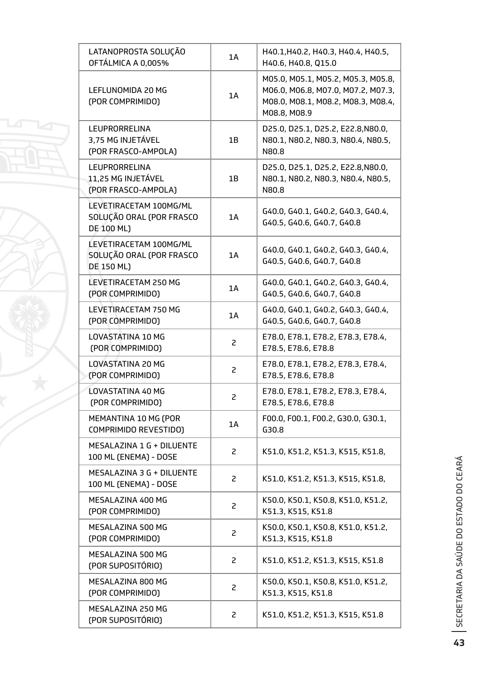| LATANOPROSTA SOLUÇÃO<br>OFTÁLMICA A 0,005%                       | 1A             | H40.1, H40.2, H40.3, H40.4, H40.5,<br>H40.6, H40.8, Q15.0                                                                      |
|------------------------------------------------------------------|----------------|--------------------------------------------------------------------------------------------------------------------------------|
| LEFLUNOMIDA 20 MG<br>(POR COMPRIMIDO)                            | 1A             | M05.0, M05.1, M05.2, M05.3, M05.8,<br>M06.0, M06.8, M07.0, M07.2, M07.3,<br>M08.0, M08.1, M08.2, M08.3, M08.4,<br>M08.8, M08.9 |
| LEUPRORRELINA<br>3,75 MG INJETÁVEL<br>(POR FRASCO-AMPOLA)        | 1B             | D25.0, D25.1, D25.2, E22.8, N80.0,<br>N80.1, N80.2, N80.3, N80.4, N80.5,<br>N80.8                                              |
| LEUPRORRELINA<br>11,25 MG INJETÁVEL<br>(POR FRASCO-AMPOLA)       | 1B             | D25.0, D25.1, D25.2, E22.8, N80.0,<br>N80.1, N80.2, N80.3, N80.4, N80.5,<br>N80.8                                              |
| LEVETIRACETAM 100MG/ML<br>SOLUÇÃO ORAL (POR FRASCO<br>DE 100 ML) | 1A             | G40.0, G40.1, G40.2, G40.3, G40.4,<br>G40.5, G40.6, G40.7, G40.8                                                               |
| LEVETIRACETAM 100MG/ML<br>SOLUÇÃO ORAL (POR FRASCO<br>DE 150 ML) | 1A             | G40.0, G40.1, G40.2, G40.3, G40.4,<br>G40.5, G40.6, G40.7, G40.8                                                               |
| LEVETIRACETAM 250 MG<br>(POR COMPRIMIDO)                         | 1A             | G40.0, G40.1, G40.2, G40.3, G40.4,<br>G40.5, G40.6, G40.7, G40.8                                                               |
| LEVETIRACETAM 750 MG<br>(POR COMPRIMIDO)                         | 1A             | G40.0, G40.1, G40.2, G40.3, G40.4,<br>G40.5, G40.6, G40.7, G40.8                                                               |
| LOVASTATINA 10 MG<br>(POR COMPRIMIDO)                            | 2              | E78.0, E78.1, E78.2, E78.3, E78.4,<br>E78.5, E78.6, E78.8                                                                      |
| LOVASTATINA 20 MG<br>(POR COMPRIMIDO)                            | 2              | E78.0, E78.1, E78.2, E78.3, E78.4,<br>E78.5, E78.6, E78.8                                                                      |
| LOVASTATINA 40 MG<br>(POR COMPRIMIDO)                            | $\overline{c}$ | E78.0, E78.1, E78.2, E78.3, E78.4,<br>E78.5, E78.6, E78.8                                                                      |
| MEMANTINA 10 MG (POR<br>COMPRIMIDO REVESTIDO)                    | 1A             | F00.0, F00.1, F00.2, G30.0, G30.1,<br>G30.8                                                                                    |
| MESALAZINA 1 G + DILUENTE<br>100 ML (ENEMA) - DOSE               | 2              | K51.0, K51.2, K51.3, K515, K51.8,                                                                                              |
| MESALAZINA 3 G + DILUENTE<br>100 ML (ENEMA) - DOSE               | $\overline{c}$ | K51.0, K51.2, K51.3, K515, K51.8,                                                                                              |
| MESALAZINA 400 MG<br>(POR COMPRIMIDO)                            | 2              | K50.0, K50.1, K50.8, K51.0, K51.2,<br>K51.3, K515, K51.8                                                                       |
| MESALAZINA 500 MG<br>(POR COMPRIMIDO)                            | $\overline{c}$ | K50.0, K50.1, K50.8, K51.0, K51.2,<br>K51.3, K515, K51.8                                                                       |
| MESALAZINA 500 MG<br>(POR SUPOSITÓRIO)                           | $\overline{c}$ | K51.0, K51.2, K51.3, K515, K51.8                                                                                               |
| MESALAZINA 800 MG<br>(POR COMPRIMIDO)                            | 2              | K50.0, K50.1, K50.8, K51.0, K51.2,<br>K51.3, K515, K51.8                                                                       |
| MESALAZINA 250 MG<br>(POR SUPOSITÓRIO)                           | 2              | K51.0, K51.2, K51.3, K515, K51.8                                                                                               |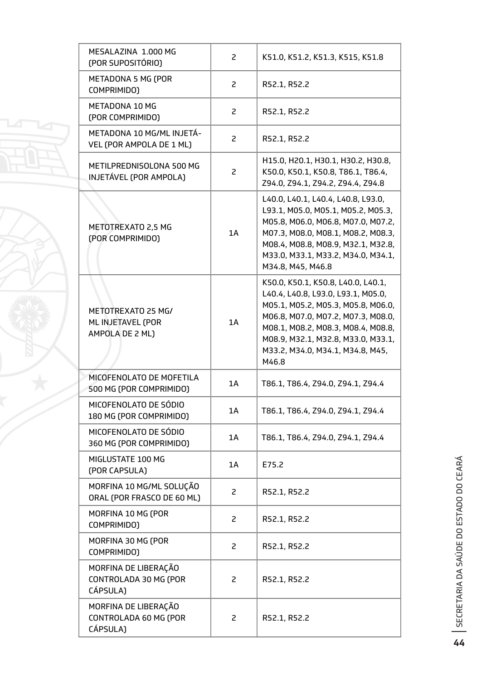| MESALAZINA 1.000 MG<br>(POR SUPOSITÓRIO)                   | 2  | K51.0, K51.2, K51.3, K515, K51.8                                                                                                                                                                                                                                              |
|------------------------------------------------------------|----|-------------------------------------------------------------------------------------------------------------------------------------------------------------------------------------------------------------------------------------------------------------------------------|
| METADONA 5 MG (POR<br>COMPRIMIDO)                          | 2  | R52.1, R52.2                                                                                                                                                                                                                                                                  |
| METADONA 10 MG<br>(POR COMPRIMIDO)                         | 2  | R52.1, R52.2                                                                                                                                                                                                                                                                  |
| METADONA 10 MG/ML INJETÁ-<br>VEL (POR AMPOLA DE 1 ML)      | 2  | R52.1, R52.2                                                                                                                                                                                                                                                                  |
| METILPREDNISOLONA 500 MG<br>INJETÁVEL (POR AMPOLA)         | 2  | H15.0, H20.1, H30.1, H30.2, H30.8,<br>K50.0, K50.1, K50.8, T86.1, T86.4,<br>Z94.0, Z94.1, Z94.2, Z94.4, Z94.8                                                                                                                                                                 |
| METOTREXATO 2,5 MG<br>(POR COMPRIMIDO)                     | 1A | L40.0, L40.1, L40.4, L40.8, L93.0,<br>L93.1, M05.0, M05.1, M05.2, M05.3,<br>M05.8, M06.0, M06.8, M07.0, M07.2,<br>M07.3, M08.0, M08.1, M08.2, M08.3,<br>M08.4, M08.8, M08.9, M32.1, M32.8,<br>M33.0, M33.1, M33.2, M34.0, M34.1,<br>M34.8, M45, M46.8                         |
| METOTREXATO 25 MG/<br>ML INJETAVEL (POR<br>AMPOLA DE 2 ML) | 1A | K50.0, K50.1, K50.8, L40.0, L40.1,<br>L40.4, L40.8, L93.0, L93.1, M05.0,<br>M05.1, M05.2, M05.3, M05.8, M06.0,<br>M06.8, M07.0, M07.2, M07.3, M08.0,<br>M08.1, M08.2, M08.3, M08.4, M08.8,<br>M08.9, M32.1, M32.8, M33.0, M33.1,<br>M33.2, M34.0, M34.1, M34.8, M45,<br>M46.8 |
| MICOFENOLATO DE MOFETILA<br>500 MG (POR COMPRIMIDO)        | 1A | T86.1, T86.4, Z94.0, Z94.1, Z94.4                                                                                                                                                                                                                                             |
| MICOFENOLATO DE SÓDIO<br>180 MG (POR COMPRIMIDO)           | 1A | T86.1, T86.4, Z94.0, Z94.1, Z94.4                                                                                                                                                                                                                                             |
| MICOFENOLATO DE SÓDIO<br>360 MG (POR COMPRIMIDO)           | 1A | T86.1, T86.4, Z94.0, Z94.1, Z94.4                                                                                                                                                                                                                                             |
| MIGLUSTATE 100 MG<br>(POR CAPSULA)                         | 1A | E75.2                                                                                                                                                                                                                                                                         |
| MORFINA 10 MG/ML SOLUÇÃO<br>ORAL (POR FRASCO DE 60 ML)     | 2  | R52.1, R52.2                                                                                                                                                                                                                                                                  |
| MORFINA 10 MG (POR<br>COMPRIMIDO)                          | 2  | R52.1, R52.2                                                                                                                                                                                                                                                                  |
| MORFINA 30 MG (POR<br>COMPRIMIDO)                          | 2  | R52.1, R52.2                                                                                                                                                                                                                                                                  |
| MORFINA DE LIBERAÇÃO<br>CONTROLADA 30 MG (POR<br>CÁPSULA)  | 2  | R52.1, R52.2                                                                                                                                                                                                                                                                  |
| MORFINA DE LIBERAÇÃO<br>CONTROLADA 60 MG (POR<br>CÁPSULA)  | 2  | R52.1, R52.2                                                                                                                                                                                                                                                                  |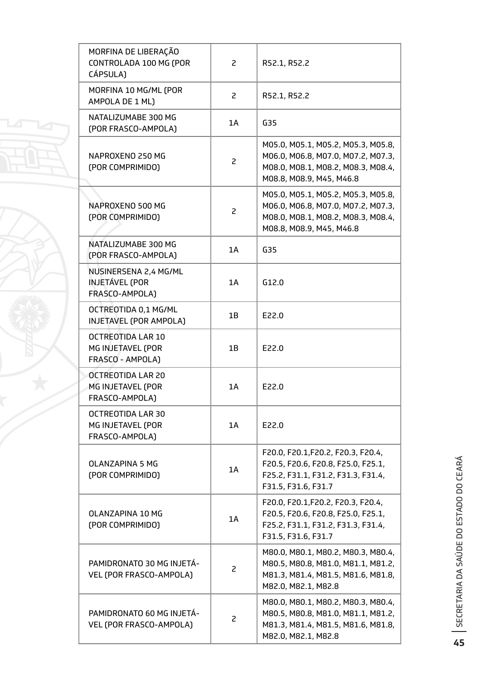| MORFINA DE LIBERAÇÃO<br>CONTROLADA 100 MG (POR<br>CÁPSULA)             | 2  | R52.1, R52.2                                                                                                                               |
|------------------------------------------------------------------------|----|--------------------------------------------------------------------------------------------------------------------------------------------|
| MORFINA 10 MG/ML (POR<br>AMPOLA DE 1 ML)                               | 2  | R52.1, R52.2                                                                                                                               |
| NATALIZUMABE 300 MG<br>(POR FRASCO-AMPOLA)                             | 1A | G35                                                                                                                                        |
| NAPROXENO 250 MG<br>(POR COMPRIMIDO)                                   | 2  | M05.0, M05.1, M05.2, M05.3, M05.8,<br>M06.0, M06.8, M07.0, M07.2, M07.3,<br>M08.0, M08.1, M08.2, M08.3, M08.4,<br>M08.8, M08.9, M45, M46.8 |
| NAPROXENO 500 MG<br>(POR COMPRIMIDO)                                   | 2  | M05.0, M05.1, M05.2, M05.3, M05.8,<br>M06.0, M06.8, M07.0, M07.2, M07.3,<br>M08.0, M08.1, M08.2, M08.3, M08.4,<br>M08.8, M08.9, M45, M46.8 |
| NATALIZUMABE 300 MG<br>(POR FRASCO-AMPOLA)                             | 1A | G35                                                                                                                                        |
| NUSINERSENA 2,4 MG/ML<br><b>INJETÁVEL (POR</b><br>FRASCO-AMPOLA)       | 1A | G12.0                                                                                                                                      |
| OCTREOTIDA 0,1 MG/ML<br>INJETAVEL (POR AMPOLA)                         | 1B | E22.0                                                                                                                                      |
| <b>OCTREOTIDA LAR 10</b><br>MG INJETAVEL (POR<br>FRASCO - AMPOLA)      | 1B | E22.0                                                                                                                                      |
| <b>OCTREOTIDA LAR 20</b><br><b>MG INJETAVEL (POR</b><br>FRASCO-AMPOLA) | 1A | E22.0                                                                                                                                      |
| OCTREOTIDA LAR 30<br>MG INJETAVEL (POR<br>FRASCO-AMPOLA)               | 1A | E22.0                                                                                                                                      |
| OLANZAPINA 5 MG<br>(POR COMPRIMIDO)                                    | 1A | F20.0, F20.1, F20.2, F20.3, F20.4,<br>F20.5, F20.6, F20.8, F25.0, F25.1,<br>F25.2, F31.1, F31.2, F31.3, F31.4,<br>F31.5, F31.6, F31.7      |
| OLANZAPINA 10 MG<br>(POR COMPRIMIDO)                                   | 1A | F20.0, F20.1, F20.2, F20.3, F20.4,<br>F20.5, F20.6, F20.8, F25.0, F25.1,<br>F25.2, F31.1, F31.2, F31.3, F31.4,<br>F31.5, F31.6, F31.7      |
| PAMIDRONATO 30 MG INJETÁ-<br>VEL (POR FRASCO-AMPOLA)                   | 2  | M80.0, M80.1, M80.2, M80.3, M80.4,<br>M80.5, M80.8, M81.0, M81.1, M81.2,<br>M81.3, M81.4, M81.5, M81.6, M81.8,<br>M82.0, M82.1, M82.8      |
| PAMIDRONATO 60 MG INJETA-<br>VEL (POR FRASCO-AMPOLA)                   | 2  | M80.0, M80.1, M80.2, M80.3, M80.4,<br>M80.5, M80.8, M81.0, M81.1, M81.2,<br>M81.3, M81.4, M81.5, M81.6, M81.8,<br>M82.0, M82.1, M82.8      |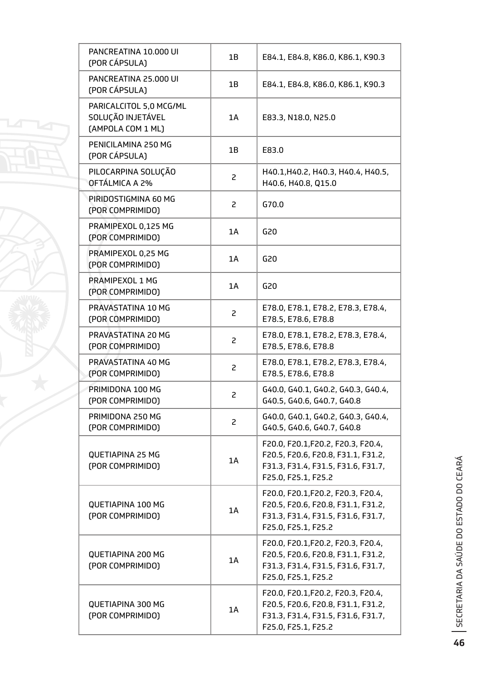| PANCREATINA 10.000 UI<br>(POR CÁPSULA)                            | 1B             | E84.1, E84.8, K86.0, K86.1, K90.3                                                                                                     |
|-------------------------------------------------------------------|----------------|---------------------------------------------------------------------------------------------------------------------------------------|
| PANCREATINA 25,000 UI<br>(POR CÁPSULA)                            | 1B             | E84.1, E84.8, K86.0, K86.1, K90.3                                                                                                     |
| PARICALCITOL 5,0 MCG/ML<br>SOLUÇÃO INJETÁVEL<br>(AMPOLA COM 1 ML) | 1A             | E83.3, N18.0, N25.0                                                                                                                   |
| PENICILAMINA 250 MG<br>(POR CÁPSULA)                              | 1B             | E83.0                                                                                                                                 |
| PILOCARPINA SOLUÇÃO<br>OFTÁLMICA A 2%                             | $\overline{c}$ | H40.1, H40.2, H40.3, H40.4, H40.5,<br>H40.6, H40.8, Q15.0                                                                             |
| PIRIDOSTIGMINA 60 MG<br>(POR COMPRIMIDO)                          | $\overline{c}$ | G70.0                                                                                                                                 |
| PRAMIPEXOL 0,125 MG<br>(POR COMPRIMIDO)                           | 1A             | G20                                                                                                                                   |
| PRAMIPEXOL 0,25 MG<br>(POR COMPRIMIDO)                            | 1A             | G20                                                                                                                                   |
| PRAMIPEXOL 1 MG<br>(POR COMPRIMIDO)                               | 1A             | G20                                                                                                                                   |
| PRAVASTATINA 10 MG<br>(POR COMPRIMIDO)                            | $\overline{c}$ | E78.0, E78.1, E78.2, E78.3, E78.4,<br>E78.5, E78.6, E78.8                                                                             |
| PRAVASTATINA 20 MG<br>(POR COMPRIMIDO)                            | 2              | E78.0, E78.1, E78.2, E78.3, E78.4,<br>E78.5, E78.6, E78.8                                                                             |
| PRAVASTATINA 40 MG<br>(POR COMPRIMIDO)                            | 2              | E78.0, E78.1, E78.2, E78.3, E78.4,<br>E78.5, E78.6, E78.8                                                                             |
| PRIMIDONA 100 MG<br>(POR COMPRIMIDO)                              | 2              | G40.0, G40.1, G40.2, G40.3, G40.4,<br>G40.5, G40.6, G40.7, G40.8                                                                      |
| PRIMIDONA 250 MG<br>(POR COMPRIMIDO)                              | $\overline{c}$ | G40.0, G40.1, G40.2, G40.3, G40.4,<br>G40.5, G40.6, G40.7, G40.8                                                                      |
| <b>QUETIAPINA 25 MG</b><br>(POR COMPRIMIDO)                       | 1A             | F20.0, F20.1, F20.2, F20.3, F20.4,<br>F20.5, F20.6, F20.8, F31.1, F31.2,<br>F31.3, F31.4, F31.5, F31.6, F31.7,<br>F25.0, F25.1, F25.2 |
| QUETIAPINA 100 MG<br>(POR COMPRIMIDO)                             | 1A             | F20.0, F20.1, F20.2, F20.3, F20.4,<br>F20.5, F20.6, F20.8, F31.1, F31.2,<br>F31.3, F31.4, F31.5, F31.6, F31.7,<br>F25.0, F25.1, F25.2 |
| QUETIAPINA 200 MG<br>(POR COMPRIMIDO)                             | 1A             | F20.0, F20.1, F20.2, F20.3, F20.4,<br>F20.5, F20.6, F20.8, F31.1, F31.2,<br>F31.3, F31.4, F31.5, F31.6, F31.7,<br>F25.0, F25.1, F25.2 |
| <b>QUETIAPINA 300 MG</b><br>(POR COMPRIMIDO)                      | 1A             | F20.0, F20.1, F20.2, F20.3, F20.4,<br>F20.5, F20.6, F20.8, F31.1, F31.2,<br>F31.3, F31.4, F31.5, F31.6, F31.7,<br>F25.0, F25.1, F25.2 |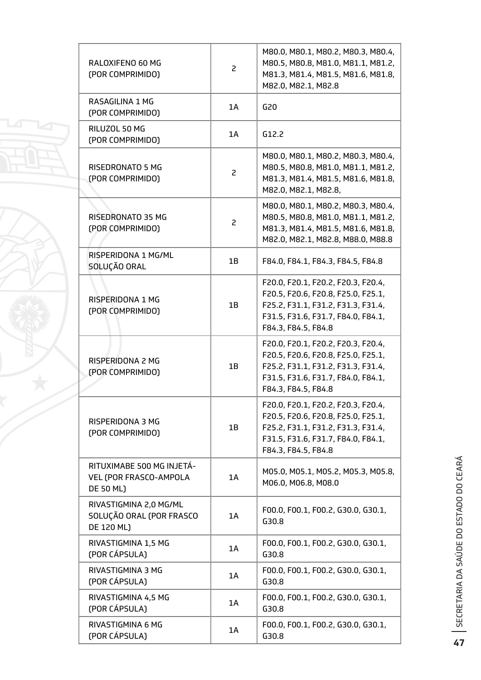| RALOXIFENO 60 MG<br>(POR COMPRIMIDO)                                    | 2  | M80.0, M80.1, M80.2, M80.3, M80.4,<br>M80.5, M80.8, M81.0, M81.1, M81.2,<br>M81.3, M81.4, M81.5, M81.6, M81.8,<br>M82.0, M82.1, M82.8                                       |
|-------------------------------------------------------------------------|----|-----------------------------------------------------------------------------------------------------------------------------------------------------------------------------|
| RASAGILINA 1 MG<br>(POR COMPRIMIDO)                                     | 1A | G20                                                                                                                                                                         |
| RILUZOL 50 MG<br>(POR COMPRIMIDO)                                       | 1A | G12.2                                                                                                                                                                       |
| RISEDRONATO 5 MG<br>(POR COMPRIMIDO)                                    | 2  | M80.0, M80.1, M80.2, M80.3, M80.4,<br>M80.5, M80.8, M81.0, M81.1, M81.2,<br>M81.3, M81.4, M81.5, M81.6, M81.8,<br>M82.0, M82.1, M82.8,                                      |
| RISEDRONATO 35 MG<br>(POR COMPRIMIDO)                                   | 2  | M80.0, M80.1, M80.2, M80.3, M80.4,<br>M80.5, M80.8, M81.0, M81.1, M81.2,<br>M81.3, M81.4, M81.5, M81.6, M81.8,<br>M82.0, M82.1, M82.8, M88.0, M88.8                         |
| RISPERIDONA 1 MG/ML<br>SOLUÇÃO ORAL                                     | 1B | F84.0, F84.1, F84.3, F84.5, F84.8                                                                                                                                           |
| RISPERIDONA 1 MG<br>(POR COMPRIMIDO)                                    | 1B | F20.0, F20.1, F20.2, F20.3, F20.4,<br>F20.5, F20.6, F20.8, F25.0, F25.1,<br>F25.2, F31.1, F31.2, F31.3, F31.4,<br>F31.5, F31.6, F31.7, F84.0, F84.1,<br>F84.3, F84.5, F84.8 |
| RISPERIDONA 2 MG<br>(POR COMPRIMIDO)                                    | 1B | F20.0, F20.1, F20.2, F20.3, F20.4,<br>F20.5, F20.6, F20.8, F25.0, F25.1,<br>F25.2, F31.1, F31.2, F31.3, F31.4,<br>F31.5, F31.6, F31.7, F84.0, F84.1,<br>F84.3, F84.5, F84.8 |
| RISPERIDONA 3 MG<br>(POR COMPRIMIDO)                                    | 1B | F20.0, F20.1, F20.2, F20.3, F20.4,<br>F20.5, F20.6, F20.8, F25.0, F25.1,<br>F25.2, F31.1, F31.2, F31.3, F31.4,<br>F31.5, F31.6, F31.7, F84.0, F84.1,<br>F84.3, F84.5, F84.8 |
| RITUXIMABE 500 MG INJETÁ-<br>VEL (POR FRASCO-AMPOLA<br><b>DE 50 ML)</b> | 1A | M05.0, M05.1, M05.2, M05.3, M05.8,<br>M06.0, M06.8, M08.0                                                                                                                   |
| RIVASTIGMINA 2,0 MG/ML<br>SOLUÇÃO ORAL (POR FRASCO<br>DE 120 ML)        | 1A | F00.0, F00.1, F00.2, G30.0, G30.1,<br>G30.8                                                                                                                                 |
| RIVASTIGMINA 1,5 MG<br>(POR CÁPSULA)                                    | 1A | F00.0, F00.1, F00.2, G30.0, G30.1,<br>G30.8                                                                                                                                 |
| RIVASTIGMINA 3 MG<br>(POR CÁPSULA)                                      | 1A | F00.0, F00.1, F00.2, G30.0, G30.1,<br>G30.8                                                                                                                                 |
| RIVASTIGMINA 4,5 MG<br>(POR CÁPSULA)                                    | 1A | F00.0, F00.1, F00.2, G30.0, G30.1,<br>G30.8                                                                                                                                 |
| RIVASTIGMINA 6 MG<br>(POR CÁPSULA)                                      | 1A | F00.0, F00.1, F00.2, G30.0, G30.1,<br>G30.8                                                                                                                                 |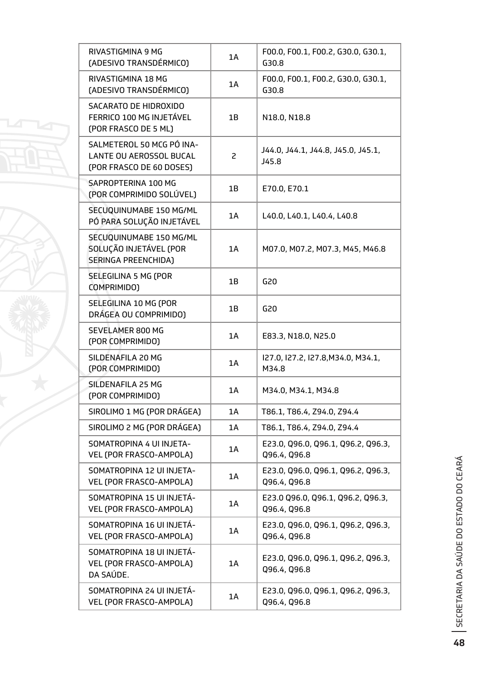| RIVASTIGMINA 9 MG<br>(ADESIVO TRANSDÉRMICO)                                             | 1A | F00.0, F00.1, F00.2, G30.0, G30.1,<br>G30.8        |
|-----------------------------------------------------------------------------------------|----|----------------------------------------------------|
| RIVASTIGMINA 18 MG<br>(ADESIVO TRANSDÉRMICO)                                            | 1A | F00.0, F00.1, F00.2, G30.0, G30.1,<br>G30.8        |
| SACARATO DE HIDROXIDO<br>FERRICO 100 MG INJETÁVEL<br>(POR FRASCO DE 5 ML)               | 1B | N18.0, N18.8                                       |
| SALMETEROL 50 MCG PÓ INA-<br><b>LANTE OU AEROSSOL BUCAL</b><br>(POR FRASCO DE 60 DOSES) | 2  | J44.0, J44.1, J44.8, J45.0, J45.1,<br>J45.8        |
| SAPROPTERINA 100 MG<br>(POR COMPRIMIDO SOLÚVEL)                                         | 1B | E70.0, E70.1                                       |
| SECUQUINUMABE 150 MG/ML<br>PÓ PARA SOLUÇÃO INJETÁVEL                                    | 1A | L40.0, L40.1, L40.4, L40.8                         |
| SECUQUINUMABE 150 MG/ML<br>SOLUÇÃO INJETÁVEL (POR<br><b>SERINGA PREENCHIDA)</b>         | 1A | M07.0, M07.2, M07.3, M45, M46.8                    |
| SELEGILINA 5 MG (POR<br>COMPRIMIDO)                                                     | 1B | G20                                                |
| SELEGILINA 10 MG (POR<br>DRÁGEA OU COMPRIMIDO)                                          | 1B | G20                                                |
| SEVELAMER 800 MG<br>(POR COMPRIMIDO)                                                    | 1A | E83.3, N18.0, N25.0                                |
| SILDENAFILA 20 MG<br>(POR COMPRIMIDO)                                                   | 1A | I27.0, I27.2, I27.8, M34.0, M34.1,<br>M34.8        |
| SILDENAFILA 25 MG<br>(POR COMPRIMIDO)                                                   | 1A | M34.0, M34.1, M34.8                                |
| SIROLIMO 1 MG (POR DRÁGEA)                                                              | 1A | T86.1, T86.4, Z94.0, Z94.4                         |
| SIROLIMO 2 MG (POR DRÁGEA)                                                              | 1A | T86.1, T86.4, Z94.0, Z94.4                         |
| SOMATROPINA 4 UI INJETA-<br>VEL (POR FRASCO-AMPOLA)                                     | 1A | E23.0, Q96.0, Q96.1, Q96.2, Q96.3,<br>Q96.4, Q96.8 |
| SOMATROPINA 12 UI INJETA-<br>VEL (POR FRASCO-AMPOLA)                                    | 1A | E23.0, Q96.0, Q96.1, Q96.2, Q96.3,<br>Q96.4, Q96.8 |
| SOMATROPINA 15 UI INJETÁ-<br>VEL (POR FRASCO-AMPOLA)                                    | 1A | E23.0 Q96.0, Q96.1, Q96.2, Q96.3,<br>Q96.4, Q96.8  |
| SOMATROPINA 16 UI INJETÁ-<br>VEL (POR FRASCO-AMPOLA)                                    | 1A | E23.0, Q96.0, Q96.1, Q96.2, Q96.3,<br>Q96.4, Q96.8 |
| SOMATROPINA 18 UI INJETÁ-<br>VEL (POR FRASCO-AMPOLA)<br>DA SAÚDE.                       | 1A | E23.0, Q96.0, Q96.1, Q96.2, Q96.3,<br>Q96.4, Q96.8 |
| SOMATROPINA 24 UI INJETÁ-<br>VEL (POR FRASCO-AMPOLA)                                    | 1A | E23.0, Q96.0, Q96.1, Q96.2, Q96.3,<br>Q96.4, Q96.8 |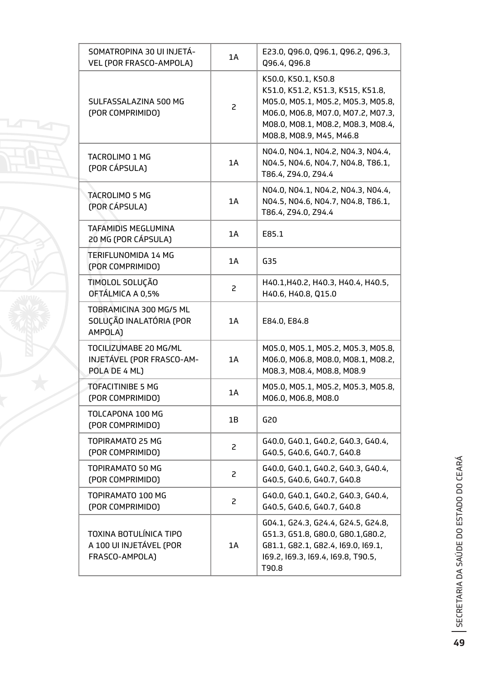| SOMATROPINA 30 UI INJETÁ-<br>VEL (POR FRASCO-AMPOLA)                | 1A             | E23.0, Q96.0, Q96.1, Q96.2, Q96.3,<br>Q96.4, Q96.8                                                                                                                                                     |
|---------------------------------------------------------------------|----------------|--------------------------------------------------------------------------------------------------------------------------------------------------------------------------------------------------------|
| SULFASSALAZINA 500 MG<br>(POR COMPRIMIDO)                           | $\overline{c}$ | K50.0, K50.1, K50.8<br>K51.0, K51.2, K51.3, K515, K51.8,<br>M05.0, M05.1, M05.2, M05.3, M05.8,<br>M06.0, M06.8, M07.0, M07.2, M07.3,<br>M08.0, M08.1, M08.2, M08.3, M08.4,<br>M08.8, M08.9, M45, M46.8 |
| TACROLIMO 1 MG<br>(POR CÁPSULA)                                     | 1A             | N04.0, N04.1, N04.2, N04.3, N04.4,<br>N04.5, N04.6, N04.7, N04.8, T86.1,<br>T86.4, Z94.0, Z94.4                                                                                                        |
| <b>TACROLIMO 5 MG</b><br>(POR CÁPSULA)                              | 1A             | N04.0, N04.1, N04.2, N04.3, N04.4,<br>N04.5, N04.6, N04.7, N04.8, T86.1,<br>T86.4, Z94.0, Z94.4                                                                                                        |
| TAFAMIDIS MEGLUMINA<br>20 MG (POR CÁPSULA)                          | 1A             | E85.1                                                                                                                                                                                                  |
| TERIFLUNOMIDA 14 MG<br>(POR COMPRIMIDO)                             | 1A             | G35                                                                                                                                                                                                    |
| TIMOLOL SOLUÇÃO<br>OFTÁLMICA A 0,5%                                 | 2              | H40.1, H40.2, H40.3, H40.4, H40.5,<br>H40.6, H40.8, Q15.0                                                                                                                                              |
| TOBRAMICINA 300 MG/5 ML<br>SOLUÇÃO INALATÓRIA (POR<br>AMPOLA)       | 1A             | E84.0, E84.8                                                                                                                                                                                           |
| TOCILIZUMABE 20 MG/ML<br>INJETÁVEL (POR FRASCO-AM-<br>POLA DE 4 ML) | 1A             | M05.0, M05.1, M05.2, M05.3, M05.8,<br>M06.0, M06.8, M08.0, M08.1, M08.2,<br>M08.3, M08.4, M08.8, M08.9                                                                                                 |
| <b>TOFACITINIBE 5 MG</b><br>(POR COMPRIMIDO)                        | 1A             | M05.0, M05.1, M05.2, M05.3, M05.8,<br>M06.0, M06.8, M08.0                                                                                                                                              |
| TOLCAPONA 100 MG<br>(POR COMPRIMIDO)                                | 1Β             | G20                                                                                                                                                                                                    |
| TOPIRAMATO 25 MG<br>(POR COMPRIMIDO)                                | $\overline{c}$ | G40.0, G40.1, G40.2, G40.3, G40.4,<br>G40.5, G40.6, G40.7, G40.8                                                                                                                                       |
| TOPIRAMATO 50 MG<br>(POR COMPRIMIDO)                                | 2              | G40.0, G40.1, G40.2, G40.3, G40.4,<br>G40.5, G40.6, G40.7, G40.8                                                                                                                                       |
| TOPIRAMATO 100 MG<br>(POR COMPRIMIDO)                               | 2              | G40.0, G40.1, G40.2, G40.3, G40.4,<br>G40.5, G40.6, G40.7, G40.8                                                                                                                                       |
| TOXINA BOTULÍNICA TIPO<br>A 100 UI INJETÁVEL (POR<br>FRASCO-AMPOLA) | 1A             | G04.1, G24.3, G24.4, G24.5, G24.8,<br>G51.3, G51.8, G80.0, G80.1, G80.2,<br>G81.1, G82.1, G82.4, I69.0, I69.1,<br>169.2, 169.3, 169.4, 169.8, T90.5,<br>T90.8                                          |